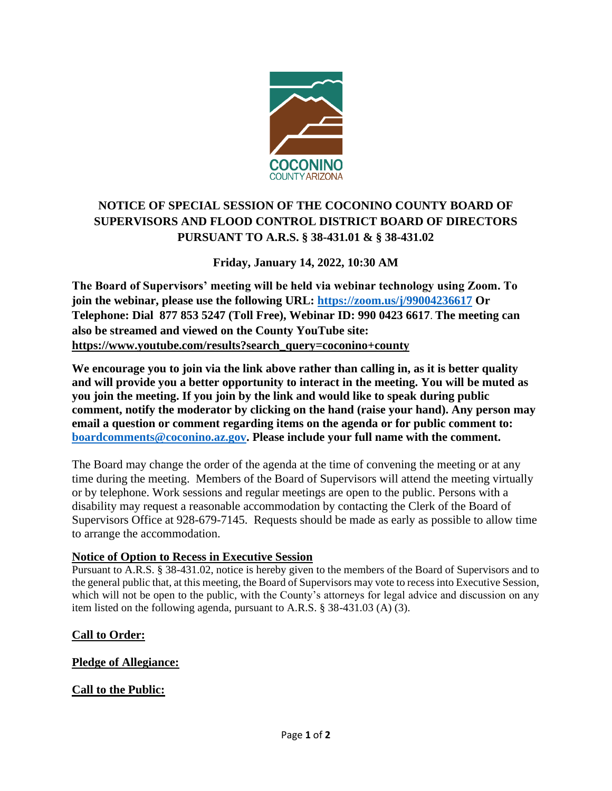

# **NOTICE OF SPECIAL SESSION OF THE COCONINO COUNTY BOARD OF SUPERVISORS AND FLOOD CONTROL DISTRICT BOARD OF DIRECTORS PURSUANT TO A.R.S. § 38-431.01 & § 38-431.02**

**Friday, January 14, 2022, 10:30 AM**

**The Board of Supervisors' meeting will be held via webinar technology using Zoom. To join the webinar, please use the following URL:<https://zoom.us/j/99004236617> Or Telephone: Dial 877 853 5247 (Toll Free), Webinar ID: 990 0423 6617**. **The meeting can also be streamed and viewed on the County YouTube site: [https://www.youtube.com/results?search\\_query=coconino+county](https://www.youtube.com/results?search_query=coconino+county)**

**We encourage you to join via the link above rather than calling in, as it is better quality and will provide you a better opportunity to interact in the meeting. You will be muted as you join the meeting. If you join by the link and would like to speak during public comment, notify the moderator by clicking on the hand (raise your hand). Any person may email a question or comment regarding items on the agenda or for public comment to: [boardcomments@coconino.az.gov.](mailto:boardcomments@coconino.az.gov) Please include your full name with the comment.** 

The Board may change the order of the agenda at the time of convening the meeting or at any time during the meeting. Members of the Board of Supervisors will attend the meeting virtually or by telephone. Work sessions and regular meetings are open to the public. Persons with a disability may request a reasonable accommodation by contacting the Clerk of the Board of Supervisors Office at 928-679-7145. Requests should be made as early as possible to allow time to arrange the accommodation.

# **Notice of Option to Recess in Executive Session**

Pursuant to A.R.S. § 38-431.02, notice is hereby given to the members of the Board of Supervisors and to the general public that, at this meeting, the Board of Supervisors may vote to recess into Executive Session, which will not be open to the public, with the County's attorneys for legal advice and discussion on any item listed on the following agenda, pursuant to A.R.S. § 38-431.03 (A) (3).

# **Call to Order:**

# **Pledge of Allegiance:**

# **Call to the Public:**